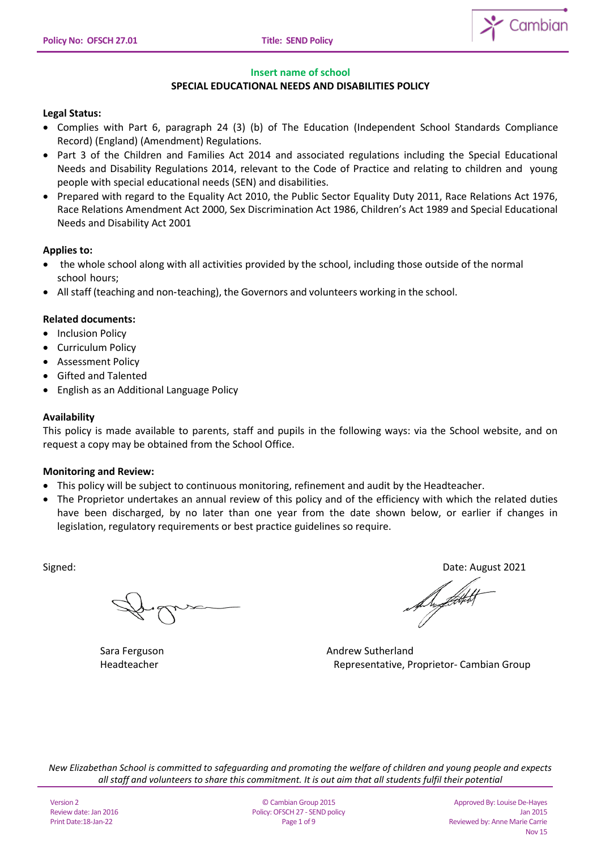

### **Insert name of school**

# **SPECIAL EDUCATIONAL NEEDS AND DISABILITIES POLICY**

### **Legal Status:**

- Complies with Part 6, paragraph 24 (3) (b) of The Education (Independent School Standards Compliance Record) (England) (Amendment) Regulations.
- Part 3 of the Children and Families Act 2014 and associated regulations including the Special Educational Needs and Disability Regulations 2014, relevant to the Code of Practice and relating to children and young people with special educational needs (SEN) and disabilities.
- Prepared with regard to the Equality Act 2010, the Public Sector Equality Duty 2011, Race Relations Act 1976, Race Relations Amendment Act 2000, Sex Discrimination Act 1986, Children's Act 1989 and Special Educational Needs and Disability Act 2001

## **Applies to:**

- the whole school along with all activities provided by the school, including those outside of the normal school hours;
- All staff (teaching and non‐teaching), the Governors and volunteers working in the school.

## **Related documents:**

- Inclusion Policy
- Curriculum Policy
- Assessment Policy
- Gifted and Talented
- English as an Additional Language Policy

## **Availability**

This policy is made available to parents, staff and pupils in the following ways: via the School website, and on request a copy may be obtained from the School Office.

### **Monitoring and Review:**

- This policy will be subject to continuous monitoring, refinement and audit by the Headteacher.
- The Proprietor undertakes an annual review of this policy and of the efficiency with which the related duties have been discharged, by no later than one year from the date shown below, or earlier if changes in legislation, regulatory requirements or best practice guidelines so require.

Signed: Date: August 2021

f hyfoti

Sara Ferguson **Andrew Sutherland** Headteacher Representative, Proprietor- Cambian Group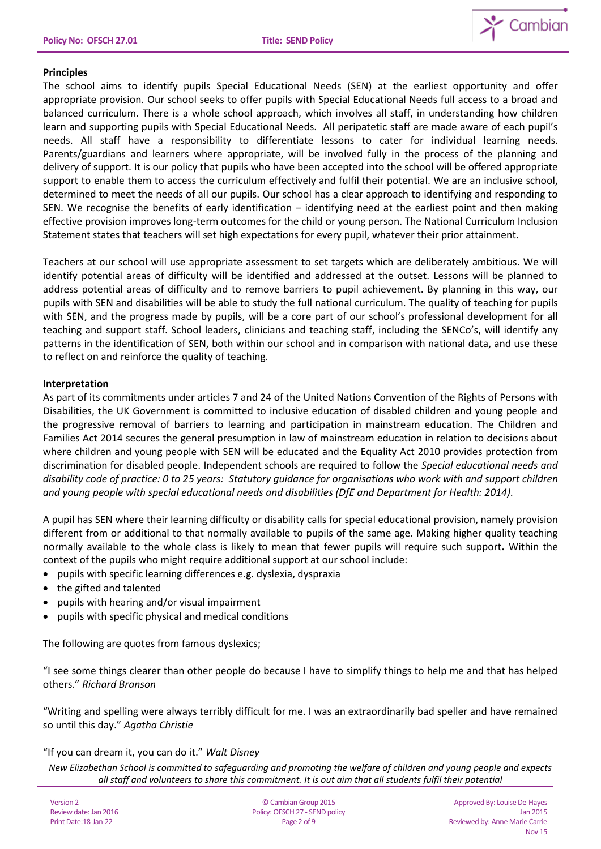

# **Principles**

The school aims to identify pupils Special Educational Needs (SEN) at the earliest opportunity and offer appropriate provision. Our school seeks to offer pupils with Special Educational Needs full access to a broad and balanced curriculum. There is a whole school approach, which involves all staff, in understanding how children learn and supporting pupils with Special Educational Needs. All peripatetic staff are made aware of each pupil's needs. All staff have a responsibility to differentiate lessons to cater for individual learning needs. Parents/guardians and learners where appropriate, will be involved fully in the process of the planning and delivery of support. It is our policy that pupils who have been accepted into the school will be offered appropriate support to enable them to access the curriculum effectively and fulfil their potential. We are an inclusive school, determined to meet the needs of all our pupils. Our school has a clear approach to identifying and responding to SEN. We recognise the benefits of early identification – identifying need at the earliest point and then making effective provision improves long-term outcomes for the child or young person. The National Curriculum Inclusion Statement states that teachers will set high expectations for every pupil, whatever their prior attainment.

Teachers at our school will use appropriate assessment to set targets which are deliberately ambitious. We will identify potential areas of difficulty will be identified and addressed at the outset. Lessons will be planned to address potential areas of difficulty and to remove barriers to pupil achievement. By planning in this way, our pupils with SEN and disabilities will be able to study the full national curriculum. The quality of teaching for pupils with SEN, and the progress made by pupils, will be a core part of our school's professional development for all teaching and support staff. School leaders, clinicians and teaching staff, including the SENCo's, will identify any patterns in the identification of SEN, both within our school and in comparison with national data, and use these to reflect on and reinforce the quality of teaching.

# **Interpretation**

As part of its commitments under articles 7 and 24 of the United Nations Convention of the Rights of Persons with Disabilities, the UK Government is committed to inclusive education of disabled children and young people and the progressive removal of barriers to learning and participation in mainstream education. The Children and Families Act 2014 secures the general presumption in law of mainstream education in relation to decisions about where children and young people with SEN will be educated and the Equality Act 2010 provides protection from discrimination for disabled people. Independent schools are required to follow the *Special educational needs and disability code of practice: 0 to 25 years: Statutory guidance for organisations who work with and support children and young people with special educational needs and disabilities (DfE and Department for Health: 2014).*

A pupil has SEN where their learning difficulty or disability calls for special educational provision, namely provision different from or additional to that normally available to pupils of the same age. Making higher quality teaching normally available to the whole class is likely to mean that fewer pupils will require such support**.** Within the context of the pupils who might require additional support at our school include:

- pupils with specific learning differences e.g. dyslexia, dyspraxia
- the gifted and talented
- pupils with hearing and/or visual impairment
- pupils with specific physical and medical conditions

The following are quotes from famous dyslexics;

"I see some things clearer than other people do because I have to simplify things to help me and that has helped others." *Richard Branson*

"Writing and spelling were always terribly difficult for me. I was an extraordinarily bad speller and have remained so until this day." *Agatha Christie*

# "If you can dream it, you can do it." *Walt Disney*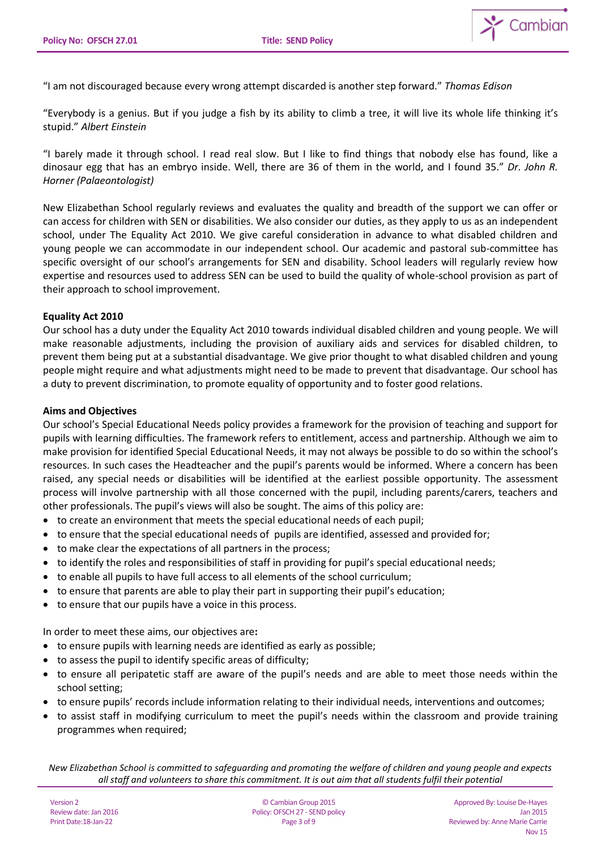

"I am not discouraged because every wrong attempt discarded is another step forward." *Thomas Edison*

"Everybody is a genius. But if you judge a fish by its ability to climb a tree, it will live its whole life thinking it's stupid." *Albert Einstein*

"I barely made it through school. I read real slow. But I like to find things that nobody else has found, like a dinosaur egg that has an embryo inside. Well, there are 36 of them in the world, and I found 35." *Dr. John R. Horner (Palaeontologist)*

New Elizabethan School regularly reviews and evaluates the quality and breadth of the support we can offer or can access for children with SEN or disabilities. We also consider our duties, as they apply to us as an independent school, under The Equality Act 2010. We give careful consideration in advance to what disabled children and young people we can accommodate in our independent school. Our academic and pastoral sub-committee has specific oversight of our school's arrangements for SEN and disability. School leaders will regularly review how expertise and resources used to address SEN can be used to build the quality of whole-school provision as part of their approach to school improvement.

## **Equality Act 2010**

Our school has a duty under the Equality Act 2010 towards individual disabled children and young people. We will make reasonable adjustments, including the provision of auxiliary aids and services for disabled children, to prevent them being put at a substantial disadvantage. We give prior thought to what disabled children and young people might require and what adjustments might need to be made to prevent that disadvantage. Our school has a duty to prevent discrimination, to promote equality of opportunity and to foster good relations.

## **Aims and Objectives**

Our school's Special Educational Needs policy provides a framework for the provision of teaching and support for pupils with learning difficulties. The framework refers to entitlement, access and partnership. Although we aim to make provision for identified Special Educational Needs, it may not always be possible to do so within the school's resources. In such cases the Headteacher and the pupil's parents would be informed. Where a concern has been raised, any special needs or disabilities will be identified at the earliest possible opportunity. The assessment process will involve partnership with all those concerned with the pupil, including parents/carers, teachers and other professionals. The pupil's views will also be sought. The aims of this policy are:

- to create an environment that meets the special educational needs of each pupil;
- to ensure that the special educational needs of pupils are identified, assessed and provided for;
- to make clear the expectations of all partners in the process;
- to identify the roles and responsibilities of staff in providing for pupil's special educational needs;
- to enable all pupils to have full access to all elements of the school curriculum;
- to ensure that parents are able to play their part in supporting their pupil's education;
- to ensure that our pupils have a voice in this process.

In order to meet these aims, our objectives are**:** 

- to ensure pupils with learning needs are identified as early as possible;
- to assess the pupil to identify specific areas of difficulty;
- to ensure all peripatetic staff are aware of the pupil's needs and are able to meet those needs within the school setting;
- to ensure pupils' records include information relating to their individual needs, interventions and outcomes;
- to assist staff in modifying curriculum to meet the pupil's needs within the classroom and provide training programmes when required;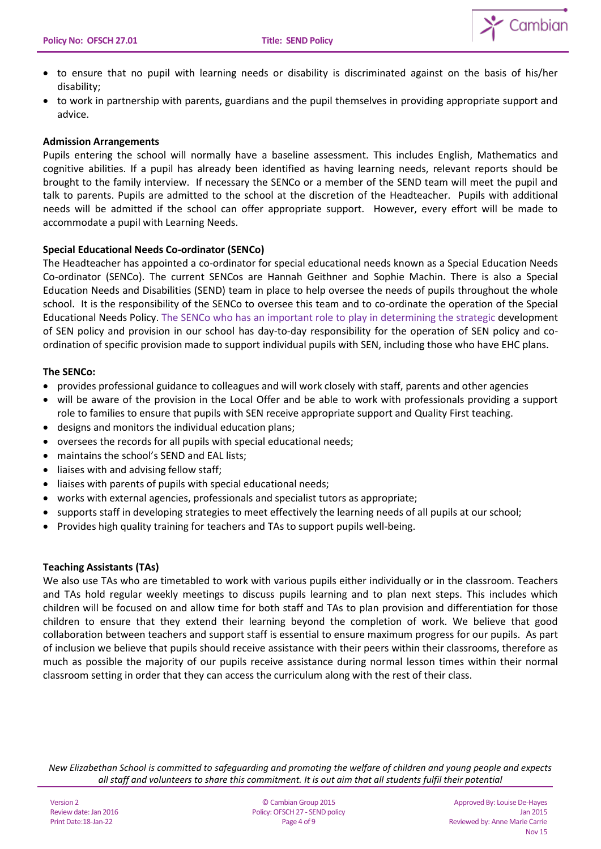

- to ensure that no pupil with learning needs or disability is discriminated against on the basis of his/her disability;
- to work in partnership with parents, guardians and the pupil themselves in providing appropriate support and advice.

## **Admission Arrangements**

Pupils entering the school will normally have a baseline assessment. This includes English, Mathematics and cognitive abilities. If a pupil has already been identified as having learning needs, relevant reports should be brought to the family interview. If necessary the SENCo or a member of the SEND team will meet the pupil and talk to parents. Pupils are admitted to the school at the discretion of the Headteacher. Pupils with additional needs will be admitted if the school can offer appropriate support. However, every effort will be made to accommodate a pupil with Learning Needs.

# **Special Educational Needs Co-ordinator (SENCo)**

The Headteacher has appointed a co-ordinator for special educational needs known as a Special Education Needs Co-ordinator (SENCo). The current SENCos are Hannah Geithner and Sophie Machin. There is also a Special Education Needs and Disabilities (SEND) team in place to help oversee the needs of pupils throughout the whole school. It is the responsibility of the SENCo to oversee this team and to co-ordinate the operation of the Special Educational Needs Policy. The SENCo who has an important role to play in determining the strategic development of SEN policy and provision in our school has day-to-day responsibility for the operation of SEN policy and coordination of specific provision made to support individual pupils with SEN, including those who have EHC plans.

## **The SENCo:**

- provides professional guidance to colleagues and will work closely with staff, parents and other agencies
- will be aware of the provision in the Local Offer and be able to work with professionals providing a support role to families to ensure that pupils with SEN receive appropriate support and Quality First teaching.
- designs and monitors the individual education plans;
- oversees the records for all pupils with special educational needs;
- maintains the school's SEND and EAL lists;
- liaises with and advising fellow staff;
- liaises with parents of pupils with special educational needs;
- works with external agencies, professionals and specialist tutors as appropriate;
- supports staff in developing strategies to meet effectively the learning needs of all pupils at our school;
- Provides high quality training for teachers and TAs to support pupils well-being.

# **Teaching Assistants (TAs)**

We also use TAs who are timetabled to work with various pupils either individually or in the classroom. Teachers and TAs hold regular weekly meetings to discuss pupils learning and to plan next steps. This includes which children will be focused on and allow time for both staff and TAs to plan provision and differentiation for those children to ensure that they extend their learning beyond the completion of work. We believe that good collaboration between teachers and support staff is essential to ensure maximum progress for our pupils. As part of inclusion we believe that pupils should receive assistance with their peers within their classrooms, therefore as much as possible the majority of our pupils receive assistance during normal lesson times within their normal classroom setting in order that they can access the curriculum along with the rest of their class.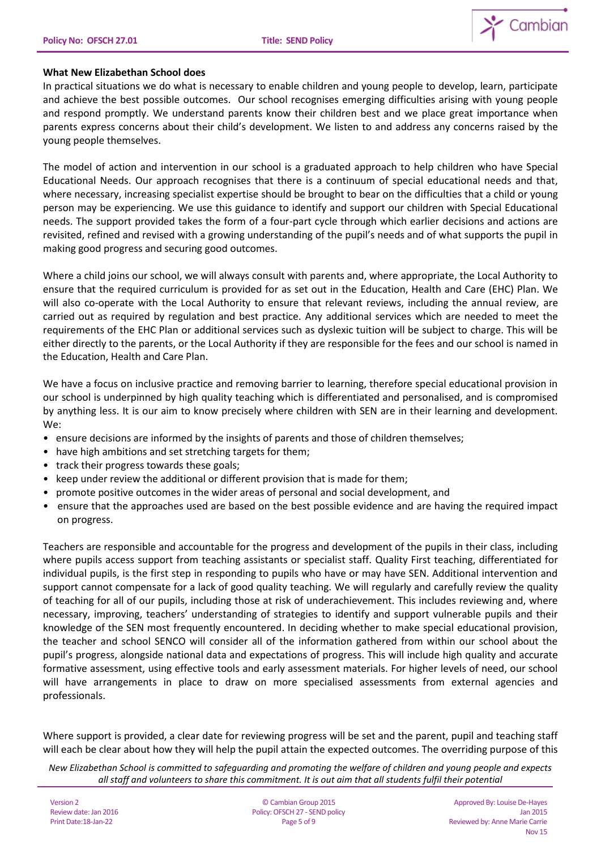

## **What New Elizabethan School does**

In practical situations we do what is necessary to enable children and young people to develop, learn, participate and achieve the best possible outcomes. Our school recognises emerging difficulties arising with young people and respond promptly. We understand parents know their children best and we place great importance when parents express concerns about their child's development. We listen to and address any concerns raised by the young people themselves.

The model of action and intervention in our school is a graduated approach to help children who have Special Educational Needs. Our approach recognises that there is a continuum of special educational needs and that, where necessary, increasing specialist expertise should be brought to bear on the difficulties that a child or young person may be experiencing. We use this guidance to identify and support our children with Special Educational needs. The support provided takes the form of a four-part cycle through which earlier decisions and actions are revisited, refined and revised with a growing understanding of the pupil's needs and of what supports the pupil in making good progress and securing good outcomes.

Where a child joins our school, we will always consult with parents and, where appropriate, the Local Authority to ensure that the required curriculum is provided for as set out in the Education, Health and Care (EHC) Plan. We will also co-operate with the Local Authority to ensure that relevant reviews, including the annual review, are carried out as required by regulation and best practice. Any additional services which are needed to meet the requirements of the EHC Plan or additional services such as dyslexic tuition will be subject to charge. This will be either directly to the parents, or the Local Authority if they are responsible for the fees and our school is named in the Education, Health and Care Plan.

We have a focus on inclusive practice and removing barrier to learning, therefore special educational provision in our school is underpinned by high quality teaching which is differentiated and personalised, and is compromised by anything less. It is our aim to know precisely where children with SEN are in their learning and development. We:

- ensure decisions are informed by the insights of parents and those of children themselves;
- have high ambitions and set stretching targets for them;
- track their progress towards these goals;
- keep under review the additional or different provision that is made for them;
- promote positive outcomes in the wider areas of personal and social development, and
- ensure that the approaches used are based on the best possible evidence and are having the required impact on progress.

Teachers are responsible and accountable for the progress and development of the pupils in their class, including where pupils access support from teaching assistants or specialist staff. Quality First teaching, differentiated for individual pupils, is the first step in responding to pupils who have or may have SEN. Additional intervention and support cannot compensate for a lack of good quality teaching. We will regularly and carefully review the quality of teaching for all of our pupils, including those at risk of underachievement. This includes reviewing and, where necessary, improving, teachers' understanding of strategies to identify and support vulnerable pupils and their knowledge of the SEN most frequently encountered. In deciding whether to make special educational provision, the teacher and school SENCO will consider all of the information gathered from within our school about the pupil's progress, alongside national data and expectations of progress. This will include high quality and accurate formative assessment, using effective tools and early assessment materials. For higher levels of need, our school will have arrangements in place to draw on more specialised assessments from external agencies and professionals.

Where support is provided, a clear date for reviewing progress will be set and the parent, pupil and teaching staff will each be clear about how they will help the pupil attain the expected outcomes. The overriding purpose of this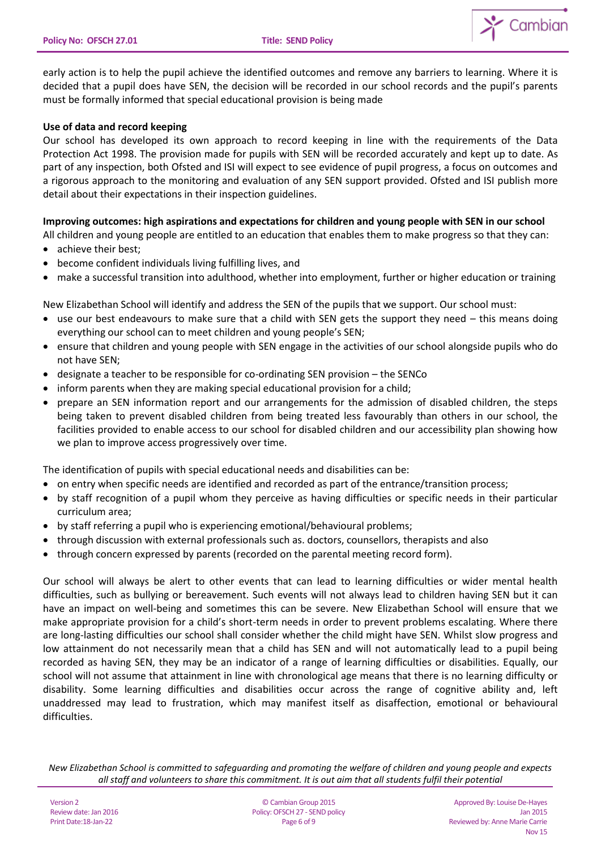

early action is to help the pupil achieve the identified outcomes and remove any barriers to learning. Where it is decided that a pupil does have SEN, the decision will be recorded in our school records and the pupil's parents must be formally informed that special educational provision is being made

# **Use of data and record keeping**

Our school has developed its own approach to record keeping in line with the requirements of the Data Protection Act 1998. The provision made for pupils with SEN will be recorded accurately and kept up to date. As part of any inspection, both Ofsted and ISI will expect to see evidence of pupil progress, a focus on outcomes and a rigorous approach to the monitoring and evaluation of any SEN support provided. Ofsted and ISI publish more detail about their expectations in their inspection guidelines.

# **Improving outcomes: high aspirations and expectations for children and young people with SEN in our school**

All children and young people are entitled to an education that enables them to make progress so that they can:

- achieve their best;
- become confident individuals living fulfilling lives, and
- make a successful transition into adulthood, whether into employment, further or higher education or training

New Elizabethan School will identify and address the SEN of the pupils that we support. Our school must:

- use our best endeavours to make sure that a child with SEN gets the support they need this means doing everything our school can to meet children and young people's SEN;
- ensure that children and young people with SEN engage in the activities of our school alongside pupils who do not have SEN;
- designate a teacher to be responsible for co-ordinating SEN provision the SENCo
- inform parents when they are making special educational provision for a child;
- prepare an SEN information report and our arrangements for the admission of disabled children, the steps being taken to prevent disabled children from being treated less favourably than others in our school, the facilities provided to enable access to our school for disabled children and our accessibility plan showing how we plan to improve access progressively over time.

The identification of pupils with special educational needs and disabilities can be:

- on entry when specific needs are identified and recorded as part of the entrance/transition process;
- by staff recognition of a pupil whom they perceive as having difficulties or specific needs in their particular curriculum area;
- by staff referring a pupil who is experiencing emotional/behavioural problems;
- through discussion with external professionals such as. doctors, counsellors, therapists and also
- through concern expressed by parents (recorded on the parental meeting record form).

Our school will always be alert to other events that can lead to learning difficulties or wider mental health difficulties, such as bullying or bereavement. Such events will not always lead to children having SEN but it can have an impact on well-being and sometimes this can be severe. New Elizabethan School will ensure that we make appropriate provision for a child's short-term needs in order to prevent problems escalating. Where there are long-lasting difficulties our school shall consider whether the child might have SEN. Whilst slow progress and low attainment do not necessarily mean that a child has SEN and will not automatically lead to a pupil being recorded as having SEN, they may be an indicator of a range of learning difficulties or disabilities. Equally, our school will not assume that attainment in line with chronological age means that there is no learning difficulty or disability. Some learning difficulties and disabilities occur across the range of cognitive ability and, left unaddressed may lead to frustration, which may manifest itself as disaffection, emotional or behavioural difficulties.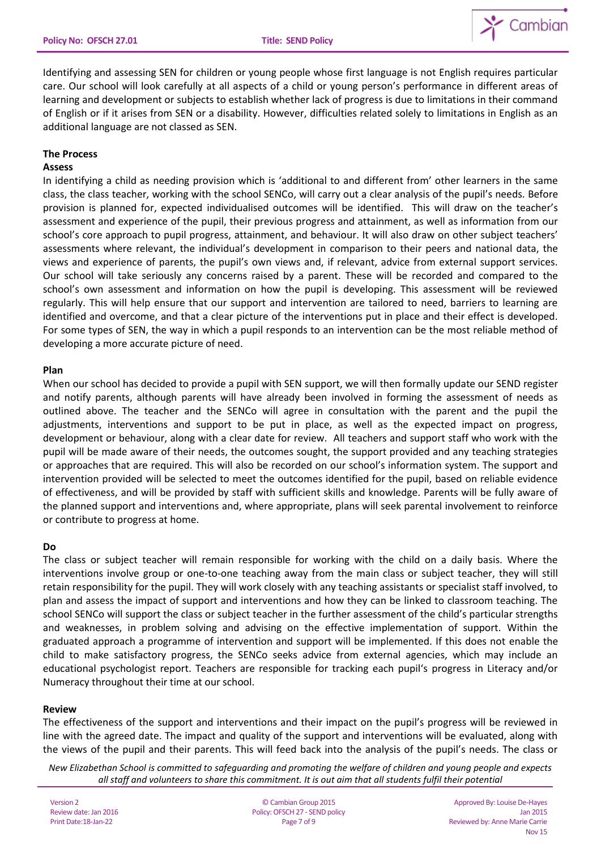

Identifying and assessing SEN for children or young people whose first language is not English requires particular care. Our school will look carefully at all aspects of a child or young person's performance in different areas of learning and development or subjects to establish whether lack of progress is due to limitations in their command of English or if it arises from SEN or a disability. However, difficulties related solely to limitations in English as an additional language are not classed as SEN.

## **The Process**

### **Assess**

In identifying a child as needing provision which is 'additional to and different from' other learners in the same class, the class teacher, working with the school SENCo, will carry out a clear analysis of the pupil's needs. Before provision is planned for, expected individualised outcomes will be identified. This will draw on the teacher's assessment and experience of the pupil, their previous progress and attainment, as well as information from our school's core approach to pupil progress, attainment, and behaviour. It will also draw on other subject teachers' assessments where relevant, the individual's development in comparison to their peers and national data, the views and experience of parents, the pupil's own views and, if relevant, advice from external support services. Our school will take seriously any concerns raised by a parent. These will be recorded and compared to the school's own assessment and information on how the pupil is developing. This assessment will be reviewed regularly. This will help ensure that our support and intervention are tailored to need, barriers to learning are identified and overcome, and that a clear picture of the interventions put in place and their effect is developed. For some types of SEN, the way in which a pupil responds to an intervention can be the most reliable method of developing a more accurate picture of need.

## **Plan**

When our school has decided to provide a pupil with SEN support, we will then formally update our SEND register and notify parents, although parents will have already been involved in forming the assessment of needs as outlined above. The teacher and the SENCo will agree in consultation with the parent and the pupil the adjustments, interventions and support to be put in place, as well as the expected impact on progress, development or behaviour, along with a clear date for review. All teachers and support staff who work with the pupil will be made aware of their needs, the outcomes sought, the support provided and any teaching strategies or approaches that are required. This will also be recorded on our school's information system. The support and intervention provided will be selected to meet the outcomes identified for the pupil, based on reliable evidence of effectiveness, and will be provided by staff with sufficient skills and knowledge. Parents will be fully aware of the planned support and interventions and, where appropriate, plans will seek parental involvement to reinforce or contribute to progress at home.

### **Do**

The class or subject teacher will remain responsible for working with the child on a daily basis. Where the interventions involve group or one-to-one teaching away from the main class or subject teacher, they will still retain responsibility for the pupil. They will work closely with any teaching assistants or specialist staff involved, to plan and assess the impact of support and interventions and how they can be linked to classroom teaching. The school SENCo will support the class or subject teacher in the further assessment of the child's particular strengths and weaknesses, in problem solving and advising on the effective implementation of support. Within the graduated approach a programme of intervention and support will be implemented. If this does not enable the child to make satisfactory progress, the SENCo seeks advice from external agencies, which may include an educational psychologist report. Teachers are responsible for tracking each pupil's progress in Literacy and/or Numeracy throughout their time at our school.

### **Review**

The effectiveness of the support and interventions and their impact on the pupil's progress will be reviewed in line with the agreed date. The impact and quality of the support and interventions will be evaluated, along with the views of the pupil and their parents. This will feed back into the analysis of the pupil's needs. The class or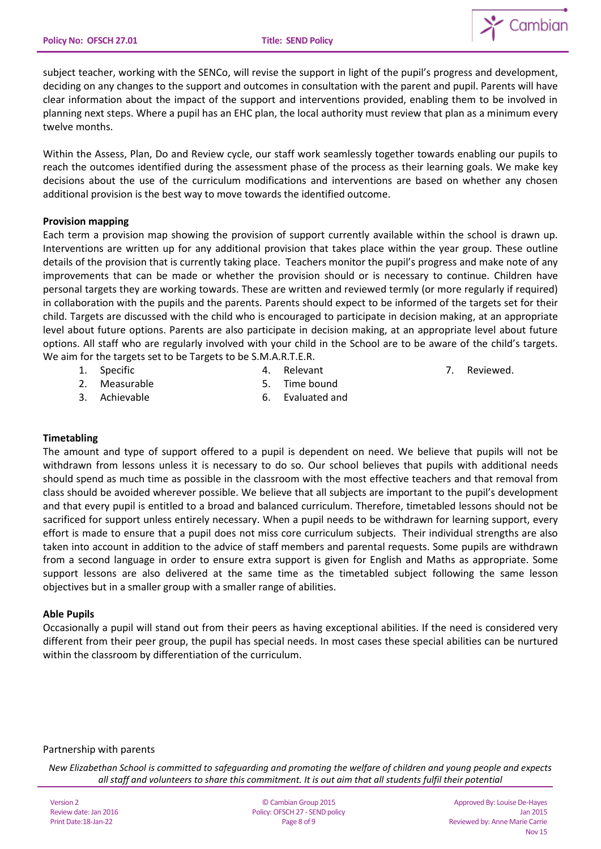

subject teacher, working with the SENCo, will revise the support in light of the pupil's progress and development, deciding on any changes to the support and outcomes in consultation with the parent and pupil. Parents will have clear information about the impact of the support and interventions provided, enabling them to be involved in planning next steps. Where a pupil has an EHC plan, the local authority must review that plan as a minimum every twelve months.

Within the Assess, Plan, Do and Review cycle, our staff work seamlessly together towards enabling our pupils to reach the outcomes identified during the assessment phase of the process as their learning goals. We make key decisions about the use of the curriculum modifications and interventions are based on whether any chosen additional provision is the best way to move towards the identified outcome.

# **Provision mapping**

Each term a provision map showing the provision of support currently available within the school is drawn up. Interventions are written up for any additional provision that takes place within the year group. These outline details of the provision that is currently taking place. Teachers monitor the pupil's progress and make note of any improvements that can be made or whether the provision should or is necessary to continue. Children have personal targets they are working towards. These are written and reviewed termly (or more regularly if required) in collaboration with the pupils and the parents. Parents should expect to be informed of the targets set for their child. Targets are discussed with the child who is encouraged to participate in decision making, at an appropriate level about future options. Parents are also participate in decision making, at an appropriate level about future options. All staff who are regularly involved with your child in the School are to be aware of the child's targets. We aim for the targets set to be Targets to be S.M.A.R.T.E.R.

1. Specific

4. Relevant

7. Reviewed.

2. Measurable

5. Time bound

3. Achievable

6. Evaluated and

# **Timetabling**

The amount and type of support offered to a pupil is dependent on need. We believe that pupils will not be withdrawn from lessons unless it is necessary to do so. Our school believes that pupils with additional needs should spend as much time as possible in the classroom with the most effective teachers and that removal from class should be avoided wherever possible. We believe that all subjects are important to the pupil's development and that every pupil is entitled to a broad and balanced curriculum. Therefore, timetabled lessons should not be sacrificed for support unless entirely necessary. When a pupil needs to be withdrawn for learning support, every effort is made to ensure that a pupil does not miss core curriculum subjects. Their individual strengths are also taken into account in addition to the advice of staff members and parental requests. Some pupils are withdrawn from a second language in order to ensure extra support is given for English and Maths as appropriate. Some support lessons are also delivered at the same time as the timetabled subject following the same lesson objectives but in a smaller group with a smaller range of abilities.

# **Able Pupils**

Occasionally a pupil will stand out from their peers as having exceptional abilities. If the need is considered very different from their peer group, the pupil has special needs. In most cases these special abilities can be nurtured within the classroom by differentiation of the curriculum.

# Partnership with parents